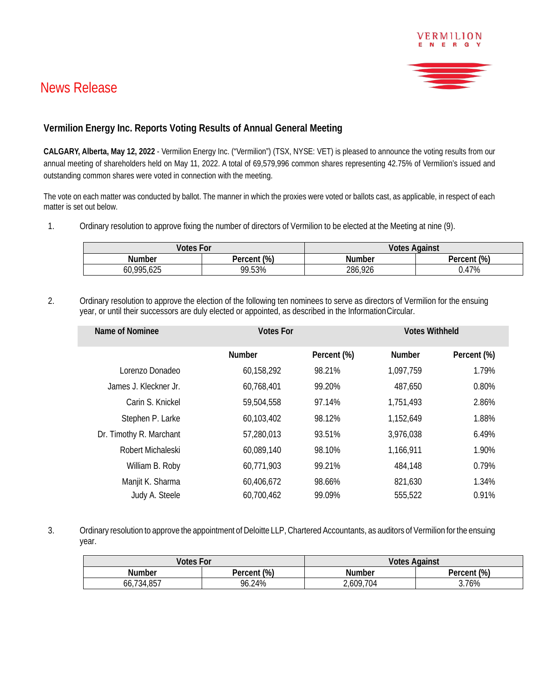## News Release



VERMILION

## **Vermilion Energy Inc. Reports Voting Results of Annual General Meeting**

**CALGARY, Alberta, May 12, 2022** - Vermilion Energy Inc. ("Vermilion") (TSX, NYSE: VET) is pleased to announce the voting results from our annual meeting of shareholders held on May 11, 2022. A total of 69,579,996 common shares representing 42.75% of Vermilion's issued and outstanding common shares were voted in connection with the meeting.

The vote on each matter was conducted by ballot. The manner in which the proxies were voted or ballots cast, as applicable, in respect of each matter is set out below.

1. Ordinary resolution to approve fixing the number of directors of Vermilion to be elected at the Meeting at nine (9).

| <b>Votes For</b> |                | <b>Votes Against</b> |                |
|------------------|----------------|----------------------|----------------|
| Number           | (%)<br>Percent | Number               | (%)<br>Percent |
| 60,995,625       | 99.53%         | 286,926              | 0.47%          |

2. Ordinary resolution to approve the election of the following ten nominees to serve as directors of Vermilion for the ensuing year, or until their successors are duly elected or appointed, as described in the InformationCircular.

| Name of Nominee         | <b>Votes For</b> |             | <b>Votes Withheld</b> |             |
|-------------------------|------------------|-------------|-----------------------|-------------|
|                         | <b>Number</b>    | Percent (%) | <b>Number</b>         | Percent (%) |
| Lorenzo Donadeo         | 60,158,292       | 98.21%      | 1,097,759             | 1.79%       |
| James J. Kleckner Jr.   | 60,768,401       | 99.20%      | 487,650               | 0.80%       |
| Carin S. Knickel        | 59,504,558       | 97.14%      | 1,751,493             | 2.86%       |
| Stephen P. Larke        | 60,103,402       | 98.12%      | 1,152,649             | 1.88%       |
| Dr. Timothy R. Marchant | 57,280,013       | 93.51%      | 3,976,038             | 6.49%       |
| Robert Michaleski       | 60,089,140       | 98.10%      | 1,166,911             | 1.90%       |
| William B. Roby         | 60,771,903       | 99.21%      | 484,148               | 0.79%       |
| Manjit K. Sharma        | 60,406,672       | 98.66%      | 821,630               | 1.34%       |
| Judy A. Steele          | 60,700,462       | 99.09%      | 555,522               | 0.91%       |

3. Ordinary resolution to approve the appointment of Deloitte LLP, Chartered Accountants, as auditors of Vermilion for the ensuing year.

| <b>Votes For</b> |                   | Votes<br>Against |                 |
|------------------|-------------------|------------------|-----------------|
| Number           | it (%)<br>Percent | Number           | (% )<br>Percent |
| +,857<br>66,734  | 96.24%            | 2,609,704        | 76%             |